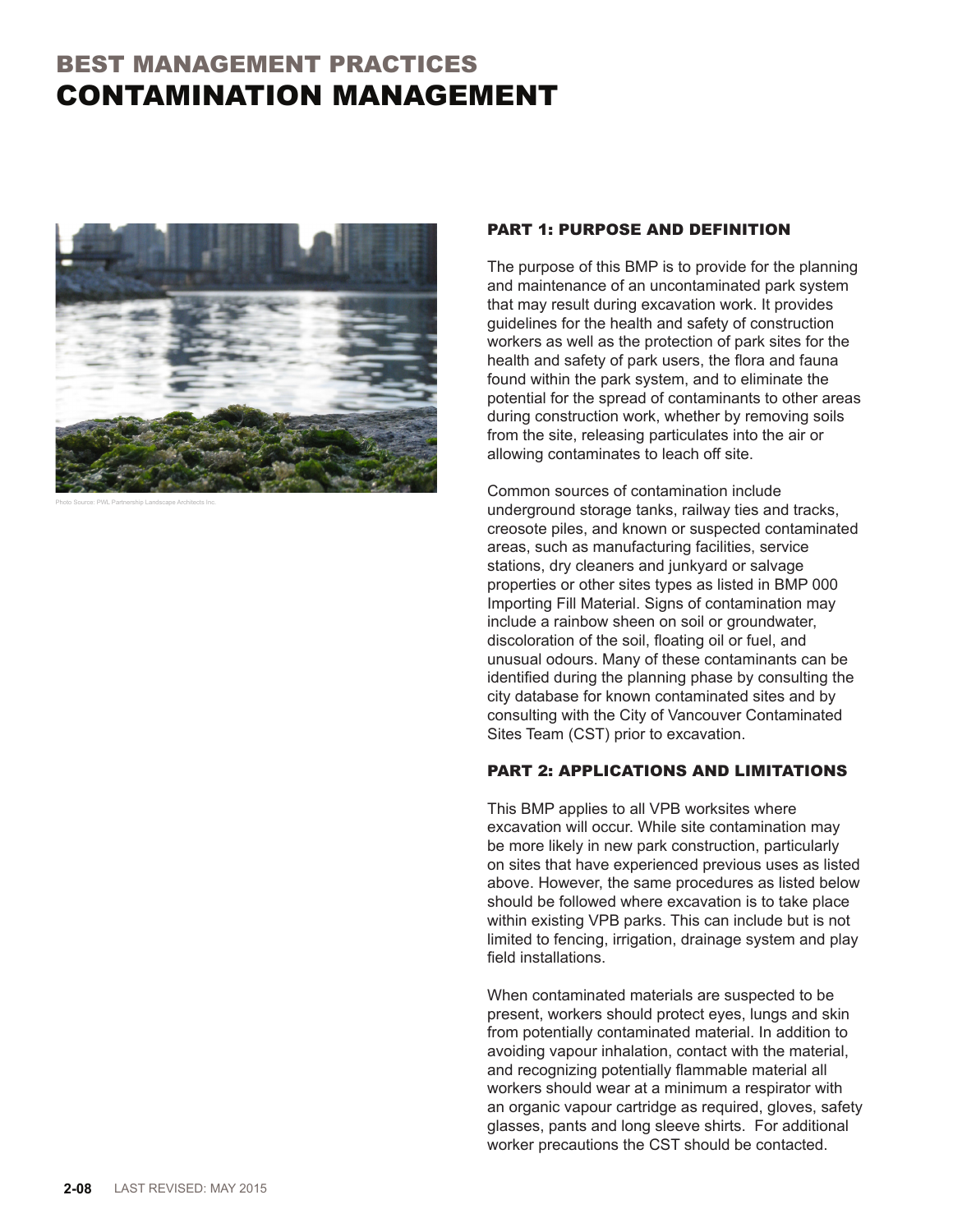## BEST MANAGEMENT PRACTICES CONTAMINATION MANAGEMENT



Photo Source: PWL Partnership Landscape Architects Inc.

## PART 1: PURPOSE AND DEFINITION

The purpose of this BMP is to provide for the planning and maintenance of an uncontaminated park system that may result during excavation work. It provides guidelines for the health and safety of construction workers as well as the protection of park sites for the health and safety of park users, the flora and fauna found within the park system, and to eliminate the potential for the spread of contaminants to other areas during construction work, whether by removing soils from the site, releasing particulates into the air or allowing contaminates to leach off site.

Common sources of contamination include underground storage tanks, railway ties and tracks, creosote piles, and known or suspected contaminated areas, such as manufacturing facilities, service stations, dry cleaners and junkyard or salvage properties or other sites types as listed in BMP 000 Importing Fill Material. Signs of contamination may include a rainbow sheen on soil or groundwater, discoloration of the soil, floating oil or fuel, and unusual odours. Many of these contaminants can be identified during the planning phase by consulting the city database for known contaminated sites and by consulting with the City of Vancouver Contaminated Sites Team (CST) prior to excavation.

## PART 2: APPLICATIONS AND LIMITATIONS

This BMP applies to all VPB worksites where excavation will occur. While site contamination may be more likely in new park construction, particularly on sites that have experienced previous uses as listed above. However, the same procedures as listed below should be followed where excavation is to take place within existing VPB parks. This can include but is not limited to fencing, irrigation, drainage system and play field installations.

When contaminated materials are suspected to be present, workers should protect eyes, lungs and skin from potentially contaminated material. In addition to avoiding vapour inhalation, contact with the material, and recognizing potentially flammable material all workers should wear at a minimum a respirator with an organic vapour cartridge as required, gloves, safety glasses, pants and long sleeve shirts. For additional worker precautions the CST should be contacted.